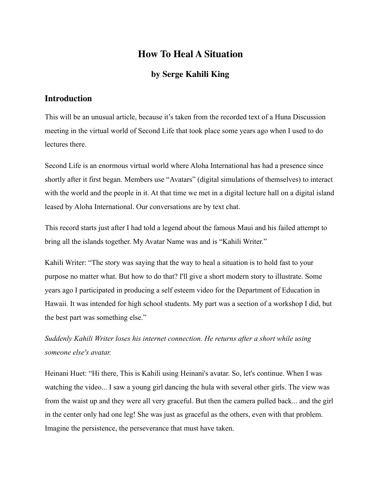## **How To Heal A Situation**

## **by Serge Kahili King**

## **Introduction**

This will be an unusual article, because it's taken from the recorded text of a Huna Discussion meeting in the virtual world of Second Life that took place some years ago when I used to do lectures there.

Second Life is an enormous virtual world where Aloha International has had a presence since shortly after it first began. Members use "Avatars" (digital simulations of themselves) to interact with the world and the people in it. At that time we met in a digital lecture hall on a digital island leased by Aloha International. Our conversations are by text chat.

This record starts just after I had told a legend about the famous Maui and his failed attempt to bring all the islands together. My Avatar Name was and is "Kahili Writer."

Kahili Writer: "The story was saying that the way to heal a situation is to hold fast to your purpose no matter what. But how to do that? I'll give a short modern story to illustrate. Some years ago I participated in producing a self esteem video for the Department of Education in Hawaii. It was intended for high school students. My part was a section of a workshop I did, but the best part was something else."

*Suddenly Kahili Writer loses his internet connection. He returns after a short while using someone else's avatar.* 

Heinani Huet: "Hi there, This is Kahili using Heinani's avatar. So, let's continue. When I was watching the video... I saw a young girl dancing the hula with several other girls. The view was from the waist up and they were all very graceful. But then the camera pulled back... and the girl in the center only had one leg! She was just as graceful as the others, even with that problem. Imagine the persistence, the perseverance that must have taken.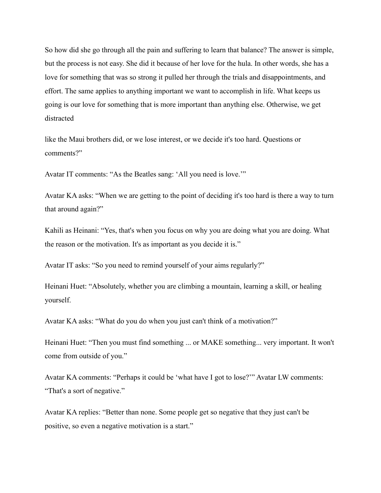So how did she go through all the pain and suffering to learn that balance? The answer is simple, but the process is not easy. She did it because of her love for the hula. In other words, she has a love for something that was so strong it pulled her through the trials and disappointments, and effort. The same applies to anything important we want to accomplish in life. What keeps us going is our love for something that is more important than anything else. Otherwise, we get distracted

like the Maui brothers did, or we lose interest, or we decide it's too hard. Questions or comments?"

Avatar IT comments: "As the Beatles sang: 'All you need is love.'"

Avatar KA asks: "When we are getting to the point of deciding it's too hard is there a way to turn that around again?"

Kahili as Heinani: "Yes, that's when you focus on why you are doing what you are doing. What the reason or the motivation. It's as important as you decide it is."

Avatar IT asks: "So you need to remind yourself of your aims regularly?"

Heinani Huet: "Absolutely, whether you are climbing a mountain, learning a skill, or healing yourself.

Avatar KA asks: "What do you do when you just can't think of a motivation?"

Heinani Huet: "Then you must find something ... or MAKE something... very important. It won't come from outside of you."

Avatar KA comments: "Perhaps it could be 'what have I got to lose?'" Avatar LW comments: "That's a sort of negative."

Avatar KA replies: "Better than none. Some people get so negative that they just can't be positive, so even a negative motivation is a start."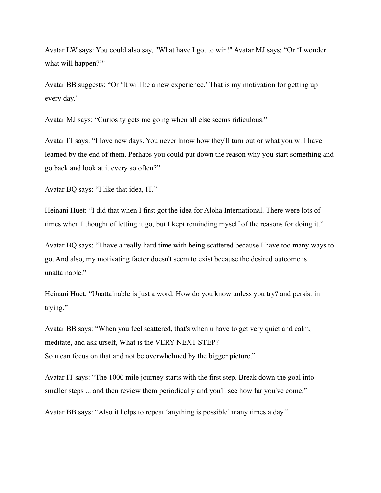Avatar LW says: You could also say, "What have I got to win!" Avatar MJ says: "Or 'I wonder what will happen?'"

Avatar BB suggests: "Or 'It will be a new experience.' That is my motivation for getting up every day."

Avatar MJ says: "Curiosity gets me going when all else seems ridiculous."

Avatar IT says: "I love new days. You never know how they'll turn out or what you will have learned by the end of them. Perhaps you could put down the reason why you start something and go back and look at it every so often?"

Avatar BQ says: "I like that idea, IT."

Heinani Huet: "I did that when I first got the idea for Aloha International. There were lots of times when I thought of letting it go, but I kept reminding myself of the reasons for doing it."

Avatar BQ says: "I have a really hard time with being scattered because I have too many ways to go. And also, my motivating factor doesn't seem to exist because the desired outcome is unattainable."

Heinani Huet: "Unattainable is just a word. How do you know unless you try? and persist in trying."

Avatar BB says: "When you feel scattered, that's when u have to get very quiet and calm, meditate, and ask urself, What is the VERY NEXT STEP? So u can focus on that and not be overwhelmed by the bigger picture."

Avatar IT says: "The 1000 mile journey starts with the first step. Break down the goal into smaller steps ... and then review them periodically and you'll see how far you've come."

Avatar BB says: "Also it helps to repeat 'anything is possible' many times a day."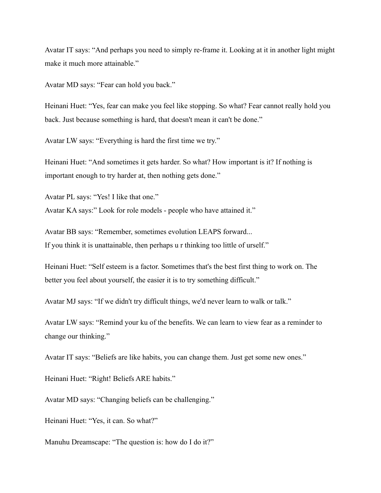Avatar IT says: "And perhaps you need to simply re-frame it. Looking at it in another light might make it much more attainable."

Avatar MD says: "Fear can hold you back."

Heinani Huet: "Yes, fear can make you feel like stopping. So what? Fear cannot really hold you back. Just because something is hard, that doesn't mean it can't be done."

Avatar LW says: "Everything is hard the first time we try."

Heinani Huet: "And sometimes it gets harder. So what? How important is it? If nothing is important enough to try harder at, then nothing gets done."

Avatar PL says: "Yes! I like that one."

Avatar KA says:" Look for role models - people who have attained it."

Avatar BB says: "Remember, sometimes evolution LEAPS forward... If you think it is unattainable, then perhaps u r thinking too little of urself."

Heinani Huet: "Self esteem is a factor. Sometimes that's the best first thing to work on. The better you feel about yourself, the easier it is to try something difficult."

Avatar MJ says: "If we didn't try difficult things, we'd never learn to walk or talk."

Avatar LW says: "Remind your ku of the benefits. We can learn to view fear as a reminder to change our thinking."

Avatar IT says: "Beliefs are like habits, you can change them. Just get some new ones."

Heinani Huet: "Right! Beliefs ARE habits."

Avatar MD says: "Changing beliefs can be challenging."

Heinani Huet: "Yes, it can. So what?"

Manuhu Dreamscape: "The question is: how do I do it?"